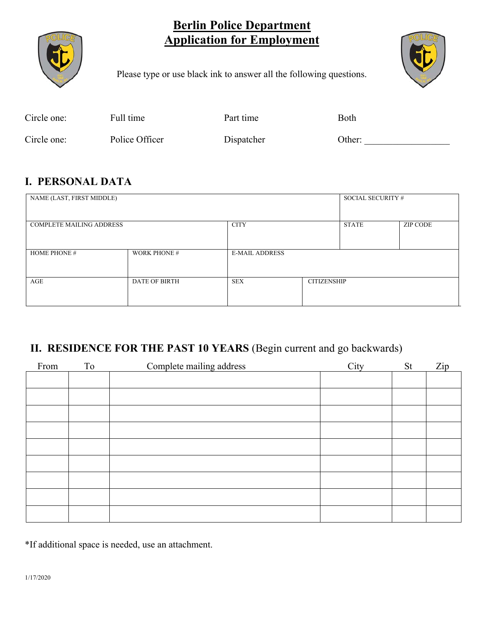# **Berlin Police Department Application for Employment**



Please type or use black ink to answer all the following questions.

| Circle one: | Full time      | Part time  | Both   |
|-------------|----------------|------------|--------|
| Circle one: | Police Officer | Dispatcher | Other: |

# **I. PERSONAL DATA**

| NAME (LAST, FIRST MIDDLE)       |                      |                       |                    | SOCIAL SECURITY # |                 |
|---------------------------------|----------------------|-----------------------|--------------------|-------------------|-----------------|
| <b>COMPLETE MAILING ADDRESS</b> |                      | <b>CITY</b>           |                    | <b>STATE</b>      | <b>ZIP CODE</b> |
| <b>HOME PHONE #</b>             | <b>WORK PHONE #</b>  | <b>E-MAIL ADDRESS</b> |                    |                   |                 |
| AGE                             | <b>DATE OF BIRTH</b> | <b>SEX</b>            | <b>CITIZENSHIP</b> |                   |                 |

# **II. RESIDENCE FOR THE PAST 10 YEARS** (Begin current and go backwards)

| From | To | Complete mailing address | City | St | Zip |
|------|----|--------------------------|------|----|-----|
|      |    |                          |      |    |     |
|      |    |                          |      |    |     |
|      |    |                          |      |    |     |
|      |    |                          |      |    |     |
|      |    |                          |      |    |     |
|      |    |                          |      |    |     |
|      |    |                          |      |    |     |
|      |    |                          |      |    |     |
|      |    |                          |      |    |     |
|      |    |                          |      |    |     |

\*If additional space is needed, use an attachment.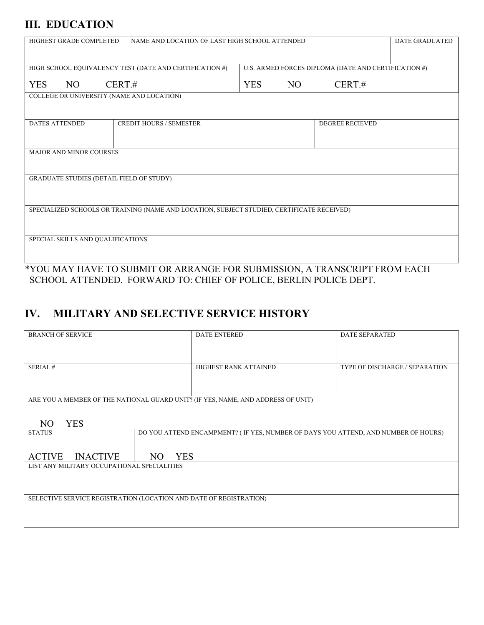## **III. EDUCATION**

| HIGHEST GRADE COMPLETED                                                                    | NAME AND LOCATION OF LAST HIGH SCHOOL ATTENDED       |  |  |  |
|--------------------------------------------------------------------------------------------|------------------------------------------------------|--|--|--|
| HIGH SCHOOL EQUIVALENCY TEST (DATE AND CERTIFICATION #)                                    | U.S. ARMED FORCES DIPLOMA (DATE AND CERTIFICATION #) |  |  |  |
|                                                                                            |                                                      |  |  |  |
| <b>YES</b><br>NO.<br>CERT.#                                                                | <b>YES</b><br>NO<br>CERT.#                           |  |  |  |
| COLLEGE OR UNIVERSITY (NAME AND LOCATION)                                                  |                                                      |  |  |  |
|                                                                                            |                                                      |  |  |  |
| <b>DATES ATTENDED</b><br><b>CREDIT HOURS / SEMESTER</b>                                    | <b>DEGREE RECIEVED</b>                               |  |  |  |
|                                                                                            |                                                      |  |  |  |
|                                                                                            |                                                      |  |  |  |
| MAJOR AND MINOR COURSES                                                                    |                                                      |  |  |  |
|                                                                                            |                                                      |  |  |  |
| <b>GRADUATE STUDIES (DETAIL FIELD OF STUDY)</b>                                            |                                                      |  |  |  |
|                                                                                            |                                                      |  |  |  |
|                                                                                            |                                                      |  |  |  |
| SPECIALIZED SCHOOLS OR TRAINING (NAME AND LOCATION, SUBJECT STUDIED, CERTIFICATE RECEIVED) |                                                      |  |  |  |
|                                                                                            |                                                      |  |  |  |
|                                                                                            |                                                      |  |  |  |
| SPECIAL SKILLS AND QUALIFICATIONS                                                          |                                                      |  |  |  |
|                                                                                            |                                                      |  |  |  |
|                                                                                            |                                                      |  |  |  |

\*YOU MAY HAVE TO SUBMIT OR ARRANGE FOR SUBMISSION, A TRANSCRIPT FROM EACH SCHOOL ATTENDED. FORWARD TO: CHIEF OF POLICE, BERLIN POLICE DEPT.

# **IV. MILITARY AND SELECTIVE SERVICE HISTORY**

| <b>BRANCH OF SERVICE</b>                                           |                   | <b>DATE ENTERED</b>                                                                | <b>DATE SEPARATED</b>          |
|--------------------------------------------------------------------|-------------------|------------------------------------------------------------------------------------|--------------------------------|
|                                                                    |                   |                                                                                    |                                |
|                                                                    |                   |                                                                                    |                                |
| SERIAL#                                                            |                   | HIGHEST RANK ATTAINED                                                              | TYPE OF DISCHARGE / SEPARATION |
|                                                                    |                   |                                                                                    |                                |
|                                                                    |                   |                                                                                    |                                |
|                                                                    |                   |                                                                                    |                                |
|                                                                    |                   | ARE YOU A MEMBER OF THE NATIONAL GUARD UNIT? (IF YES, NAME, AND ADDRESS OF UNIT)   |                                |
|                                                                    |                   |                                                                                    |                                |
| <b>YES</b><br>N <sub>O</sub>                                       |                   |                                                                                    |                                |
| <b>STATUS</b>                                                      |                   | DO YOU ATTEND ENCAMPMENT? (IF YES, NUMBER OF DAYS YOU ATTEND, AND NUMBER OF HOURS) |                                |
|                                                                    |                   |                                                                                    |                                |
| <b>INACTIVE</b><br><b>ACTIVE</b>                                   | <b>YES</b><br>NO. |                                                                                    |                                |
| LIST ANY MILITARY OCCUPATIONAL SPECIALITIES                        |                   |                                                                                    |                                |
|                                                                    |                   |                                                                                    |                                |
|                                                                    |                   |                                                                                    |                                |
|                                                                    |                   |                                                                                    |                                |
| SELECTIVE SERVICE REGISTRATION (LOCATION AND DATE OF REGISTRATION) |                   |                                                                                    |                                |
|                                                                    |                   |                                                                                    |                                |
|                                                                    |                   |                                                                                    |                                |
|                                                                    |                   |                                                                                    |                                |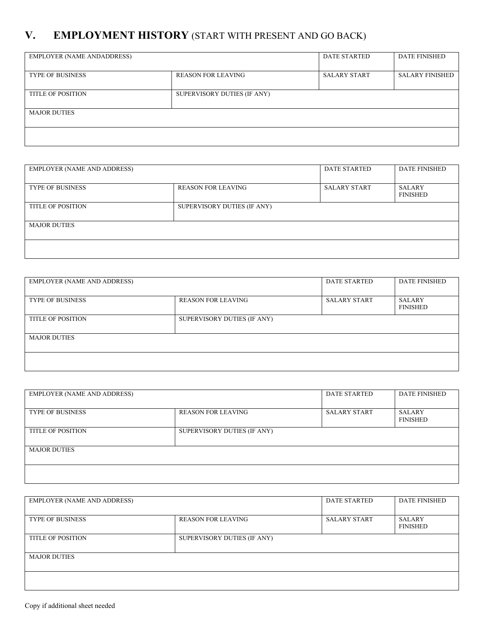# **V. EMPLOYMENT HISTORY** (START WITH PRESENT AND GO BACK)

| <b>EMPLOYER (NAME ANDADDRESS)</b> |                             | <b>DATE STARTED</b> | <b>DATE FINISHED</b>   |
|-----------------------------------|-----------------------------|---------------------|------------------------|
| <b>TYPE OF BUSINESS</b>           | <b>REASON FOR LEAVING</b>   | <b>SALARY START</b> | <b>SALARY FINISHED</b> |
| <b>TITLE OF POSITION</b>          | SUPERVISORY DUTIES (IF ANY) |                     |                        |
| <b>MAJOR DUTIES</b>               |                             |                     |                        |
|                                   |                             |                     |                        |

| <b>EMPLOYER (NAME AND ADDRESS)</b> |                             | <b>DATE STARTED</b> | <b>DATE FINISHED</b>             |
|------------------------------------|-----------------------------|---------------------|----------------------------------|
| <b>TYPE OF BUSINESS</b>            | <b>REASON FOR LEAVING</b>   | <b>SALARY START</b> | <b>SALARY</b><br><b>FINISHED</b> |
| <b>TITLE OF POSITION</b>           | SUPERVISORY DUTIES (IF ANY) |                     |                                  |
| <b>MAJOR DUTIES</b>                |                             |                     |                                  |
|                                    |                             |                     |                                  |

| <b>EMPLOYER (NAME AND ADDRESS)</b> |                             | <b>DATE STARTED</b> | <b>DATE FINISHED</b>             |
|------------------------------------|-----------------------------|---------------------|----------------------------------|
| <b>TYPE OF BUSINESS</b>            | <b>REASON FOR LEAVING</b>   | <b>SALARY START</b> | <b>SALARY</b><br><b>FINISHED</b> |
| <b>TITLE OF POSITION</b>           | SUPERVISORY DUTIES (IF ANY) |                     |                                  |
| <b>MAJOR DUTIES</b>                |                             |                     |                                  |
|                                    |                             |                     |                                  |

| <b>EMPLOYER (NAME AND ADDRESS)</b> |                             | <b>DATE STARTED</b> | <b>DATE FINISHED</b>             |
|------------------------------------|-----------------------------|---------------------|----------------------------------|
| <b>TYPE OF BUSINESS</b>            | <b>REASON FOR LEAVING</b>   | <b>SALARY START</b> | <b>SALARY</b><br><b>FINISHED</b> |
| <b>TITLE OF POSITION</b>           | SUPERVISORY DUTIES (IF ANY) |                     |                                  |
| <b>MAJOR DUTIES</b>                |                             |                     |                                  |
|                                    |                             |                     |                                  |

| <b>EMPLOYER (NAME AND ADDRESS)</b> |                             | <b>DATE STARTED</b> | <b>DATE FINISHED</b>             |
|------------------------------------|-----------------------------|---------------------|----------------------------------|
| <b>TYPE OF BUSINESS</b>            | <b>REASON FOR LEAVING</b>   | <b>SALARY START</b> | <b>SALARY</b><br><b>FINISHED</b> |
| <b>TITLE OF POSITION</b>           | SUPERVISORY DUTIES (IF ANY) |                     |                                  |
| <b>MAJOR DUTIES</b>                |                             |                     |                                  |
|                                    |                             |                     |                                  |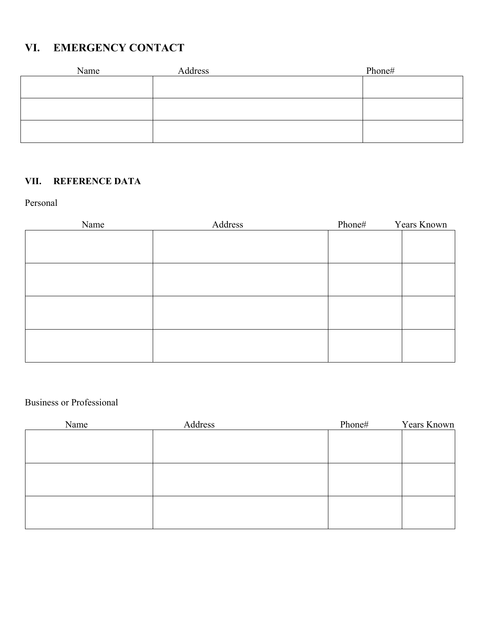# **VI. EMERGENCY CONTACT**

| Name | Address | Phone# |
|------|---------|--------|
|      |         |        |
|      |         |        |
|      |         |        |
|      |         |        |
|      |         |        |
|      |         |        |

### **VII. REFERENCE DATA**

#### Personal

| Name | Address | Phone# | Years Known |
|------|---------|--------|-------------|
|      |         |        |             |
|      |         |        |             |
|      |         |        |             |
|      |         |        |             |
|      |         |        |             |
|      |         |        |             |
|      |         |        |             |
|      |         |        |             |
|      |         |        |             |
|      |         |        |             |
|      |         |        |             |
|      |         |        |             |

### Business or Professional

| Name | Address | Phone# | Years Known |
|------|---------|--------|-------------|
|      |         |        |             |
|      |         |        |             |
|      |         |        |             |
|      |         |        |             |
|      |         |        |             |
|      |         |        |             |
|      |         |        |             |
|      |         |        |             |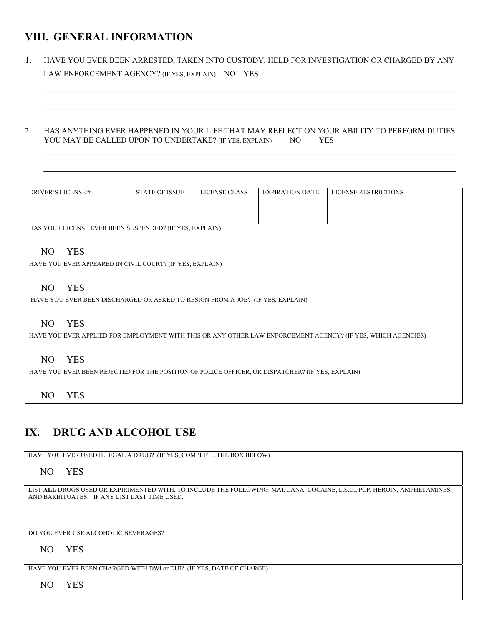## **VIII. GENERAL INFORMATION**

1. HAVE YOU EVER BEEN ARRESTED, TAKEN INTO CUSTODY, HELD FOR INVESTIGATION OR CHARGED BY ANY LAW ENFORCEMENT AGENCY? (IF YES, EXPLAIN) NO YES

#### 2. HAS ANYTHING EVER HAPPENED IN YOUR LIFE THAT MAY REFLECT ON YOUR ABILITY TO PERFORM DUTIES YOU MAY BE CALLED UPON TO UNDERTAKE? (IF YES, EXPLAIN) NO YES

 $\_$  , and the set of the set of the set of the set of the set of the set of the set of the set of the set of the set of the set of the set of the set of the set of the set of the set of the set of the set of the set of th

| <b>DRIVER'S LICENSE #</b> |            | <b>STATE OF ISSUE</b>                                                          | LICENSE CLASS | <b>EXPIRATION DATE</b>                                                                           | <b>LICENSE RESTRICTIONS</b>                                                                                  |
|---------------------------|------------|--------------------------------------------------------------------------------|---------------|--------------------------------------------------------------------------------------------------|--------------------------------------------------------------------------------------------------------------|
|                           |            |                                                                                |               |                                                                                                  |                                                                                                              |
|                           |            |                                                                                |               |                                                                                                  |                                                                                                              |
|                           |            |                                                                                |               |                                                                                                  |                                                                                                              |
|                           |            | HAS YOUR LICENSE EVER BEEN SUSPENDED? (IF YES, EXPLAIN)                        |               |                                                                                                  |                                                                                                              |
|                           |            |                                                                                |               |                                                                                                  |                                                                                                              |
|                           |            |                                                                                |               |                                                                                                  |                                                                                                              |
| NO                        | <b>YES</b> |                                                                                |               |                                                                                                  |                                                                                                              |
|                           |            |                                                                                |               |                                                                                                  |                                                                                                              |
|                           |            | HAVE YOU EVER APPEARED IN CIVIL COURT? (IF YES, EXPLAIN)                       |               |                                                                                                  |                                                                                                              |
|                           |            |                                                                                |               |                                                                                                  |                                                                                                              |
|                           |            |                                                                                |               |                                                                                                  |                                                                                                              |
| NO.                       | <b>YES</b> |                                                                                |               |                                                                                                  |                                                                                                              |
|                           |            | HAVE YOU EVER BEEN DISCHARGED OR ASKED TO RESIGN FROM A JOB? (IF YES, EXPLAIN) |               |                                                                                                  |                                                                                                              |
|                           |            |                                                                                |               |                                                                                                  |                                                                                                              |
|                           |            |                                                                                |               |                                                                                                  |                                                                                                              |
| NO.                       | <b>YES</b> |                                                                                |               |                                                                                                  |                                                                                                              |
|                           |            |                                                                                |               |                                                                                                  | HAVE YOU EVER APPLIED FOR EMPLOYMENT WITH THIS OR ANY OTHER LAW ENFORCEMENT AGENCY? (IF YES, WHICH AGENCIES) |
|                           |            |                                                                                |               |                                                                                                  |                                                                                                              |
|                           |            |                                                                                |               |                                                                                                  |                                                                                                              |
| NO.                       | <b>YES</b> |                                                                                |               |                                                                                                  |                                                                                                              |
|                           |            |                                                                                |               |                                                                                                  |                                                                                                              |
|                           |            |                                                                                |               | HAVE YOU EVER BEEN REJECTED FOR THE POSITION OF POLICE OFFICER, OR DISPATCHER? (IF YES, EXPLAIN) |                                                                                                              |
|                           |            |                                                                                |               |                                                                                                  |                                                                                                              |
|                           |            |                                                                                |               |                                                                                                  |                                                                                                              |
| NO.                       | <b>YES</b> |                                                                                |               |                                                                                                  |                                                                                                              |

## **IX. DRUG AND ALCOHOL USE**

HAVE YOU EVER USED ILLEGAL A DRUG? (IF YES, COMPLETE THE BOX BELOW)

NO YES

LIST **ALL** DRUGS USED OR EXPIRIMENTED WITH, TO INCLUDE THE FOLLOWING: MAIJUANA, COCAINE, L.S.D., PCP, HEROIN, AMPHETAMINES, AND BARBITUATES. IF ANY LIST LAST TIME USED.

DO YOU EVER USE ALCOHOLIC BEVERAGES?

#### NO YES

HAVE YOU EVER BEEN CHARGED WITH DWI or DUI? (IF YES, DATE OF CHARGE)

NO YES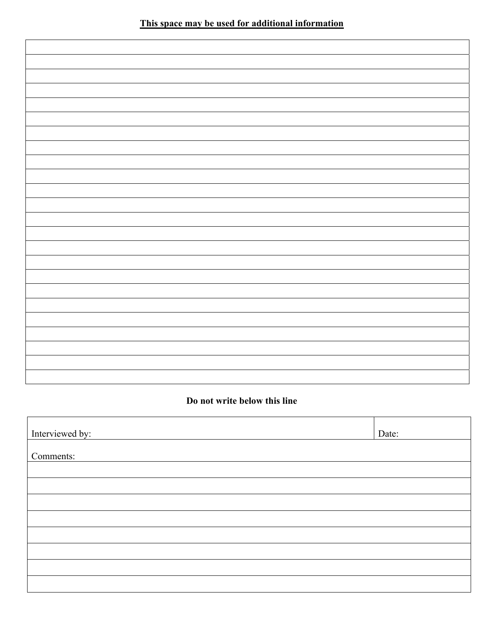#### **Do not write below this line**

| Interviewed by: | Date: |
|-----------------|-------|
| Comments:       |       |
|                 |       |
|                 |       |
|                 |       |
|                 |       |
|                 |       |
|                 |       |
|                 |       |
|                 |       |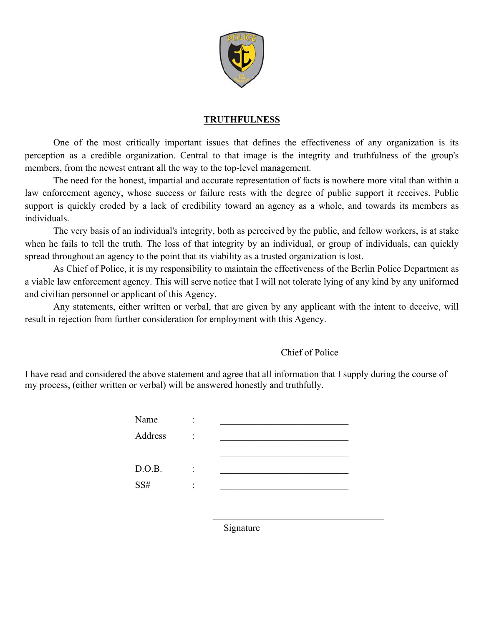

#### **TRUTHFULNESS**

 One of the most critically important issues that defines the effectiveness of any organization is its perception as a credible organization. Central to that image is the integrity and truthfulness of the group's members, from the newest entrant all the way to the top-level management.

 The need for the honest, impartial and accurate representation of facts is nowhere more vital than within a law enforcement agency, whose success or failure rests with the degree of public support it receives. Public support is quickly eroded by a lack of credibility toward an agency as a whole, and towards its members as individuals.

 The very basis of an individual's integrity, both as perceived by the public, and fellow workers, is at stake when he fails to tell the truth. The loss of that integrity by an individual, or group of individuals, can quickly spread throughout an agency to the point that its viability as a trusted organization is lost.

 As Chief of Police, it is my responsibility to maintain the effectiveness of the Berlin Police Department as a viable law enforcement agency. This will serve notice that I will not tolerate lying of any kind by any uniformed and civilian personnel or applicant of this Agency.

 Any statements, either written or verbal, that are given by any applicant with the intent to deceive, will result in rejection from further consideration for employment with this Agency.

#### Chief of Police

I have read and considered the above statement and agree that all information that I supply during the course of my process, (either written or verbal) will be answered honestly and truthfully.

| Name    | ٠<br>٠ |  |
|---------|--------|--|
| Address | ٠<br>٠ |  |
|         |        |  |
| D.O.B.  | ٠      |  |
| SS#     | ٠      |  |
|         |        |  |

Signature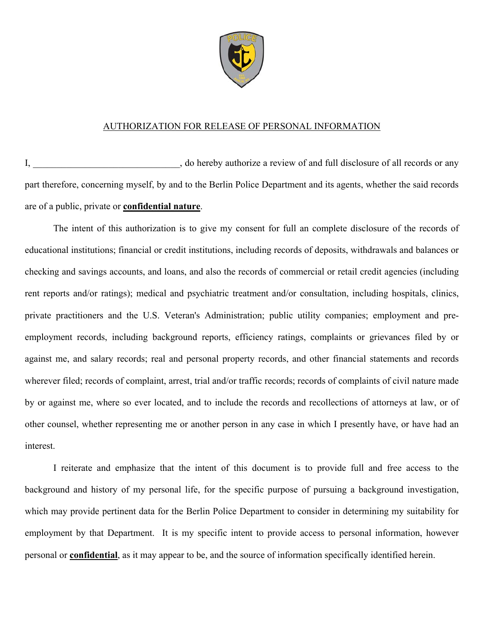

#### AUTHORIZATION FOR RELEASE OF PERSONAL INFORMATION

I, do hereby authorize a review of and full disclosure of all records or any part therefore, concerning myself, by and to the Berlin Police Department and its agents, whether the said records are of a public, private or **confidential nature**.

The intent of this authorization is to give my consent for full an complete disclosure of the records of educational institutions; financial or credit institutions, including records of deposits, withdrawals and balances or checking and savings accounts, and loans, and also the records of commercial or retail credit agencies (including rent reports and/or ratings); medical and psychiatric treatment and/or consultation, including hospitals, clinics, private practitioners and the U.S. Veteran's Administration; public utility companies; employment and preemployment records, including background reports, efficiency ratings, complaints or grievances filed by or against me, and salary records; real and personal property records, and other financial statements and records wherever filed; records of complaint, arrest, trial and/or traffic records; records of complaints of civil nature made by or against me, where so ever located, and to include the records and recollections of attorneys at law, or of other counsel, whether representing me or another person in any case in which I presently have, or have had an interest.

I reiterate and emphasize that the intent of this document is to provide full and free access to the background and history of my personal life, for the specific purpose of pursuing a background investigation, which may provide pertinent data for the Berlin Police Department to consider in determining my suitability for employment by that Department. It is my specific intent to provide access to personal information, however personal or **confidential**, as it may appear to be, and the source of information specifically identified herein.